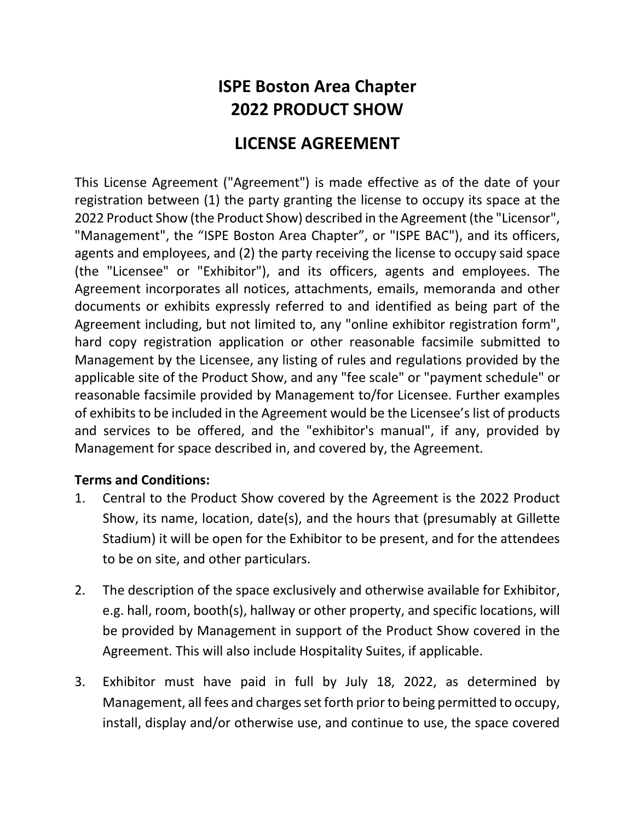# **ISPE Boston Area Chapter 2022 PRODUCT SHOW**

## **LICENSE AGREEMENT**

This License Agreement ("Agreement") is made effective as of the date of your registration between (1) the party granting the license to occupy its space at the 2022 Product Show (the Product Show) described in the Agreement (the "Licensor", "Management", the "ISPE Boston Area Chapter", or "ISPE BAC"), and its officers, agents and employees, and (2) the party receiving the license to occupy said space (the "Licensee" or "Exhibitor"), and its officers, agents and employees. The Agreement incorporates all notices, attachments, emails, memoranda and other documents or exhibits expressly referred to and identified as being part of the Agreement including, but not limited to, any "online exhibitor registration form", hard copy registration application or other reasonable facsimile submitted to Management by the Licensee, any listing of rules and regulations provided by the applicable site of the Product Show, and any "fee scale" or "payment schedule" or reasonable facsimile provided by Management to/for Licensee. Further examples of exhibits to be included in the Agreement would be the Licensee's list of products and services to be offered, and the "exhibitor's manual", if any, provided by Management for space described in, and covered by, the Agreement.

#### **Terms and Conditions:**

- 1. Central to the Product Show covered by the Agreement is the 2022 Product Show, its name, location, date(s), and the hours that (presumably at Gillette Stadium) it will be open for the Exhibitor to be present, and for the attendees to be on site, and other particulars.
- 2. The description of the space exclusively and otherwise available for Exhibitor, e.g. hall, room, booth(s), hallway or other property, and specific locations, will be provided by Management in support of the Product Show covered in the Agreement. This will also include Hospitality Suites, if applicable.
- 3. Exhibitor must have paid in full by July 18, 2022, as determined by Management, all fees and charges set forth prior to being permitted to occupy, install, display and/or otherwise use, and continue to use, the space covered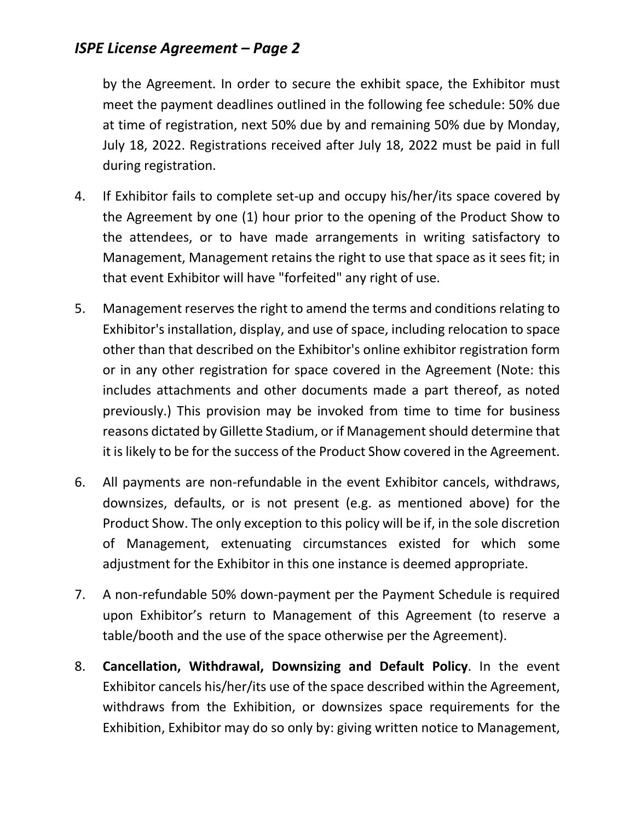by the Agreement. In order to secure the exhibit space, the Exhibitor must meet the payment deadlines outlined in the following fee schedule: 50% due at time of registration, next 50% due by and remaining 50% due by Monday, July 18, 2022. Registrations received after July 18, 2022 must be paid in full during registration.

- 4. If Exhibitor fails to complete set-up and occupy his/her/its space covered by the Agreement by one (1) hour prior to the opening of the Product Show to the attendees, or to have made arrangements in writing satisfactory to Management, Management retains the right to use that space as it sees fit; in that event Exhibitor will have "forfeited" any right of use.
- 5. Management reserves the right to amend the terms and conditions relating to Exhibitor's installation, display, and use of space, including relocation to space other than that described on the Exhibitor's online exhibitor registration form or in any other registration for space covered in the Agreement (Note: this includes attachments and other documents made a part thereof, as noted previously.) This provision may be invoked from time to time for business reasons dictated by Gillette Stadium, or if Management should determine that it is likely to be for the success of the Product Show covered in the Agreement.
- 6. All payments are non-refundable in the event Exhibitor cancels, withdraws, downsizes, defaults, or is not present (e.g. as mentioned above) for the Product Show. The only exception to this policy will be if, in the sole discretion of Management, extenuating circumstances existed for which some adjustment for the Exhibitor in this one instance is deemed appropriate.
- 7. A non-refundable 50% down-payment per the Payment Schedule is required upon Exhibitor's return to Management of this Agreement (to reserve a table/booth and the use of the space otherwise per the Agreement).
- 8. **Cancellation, Withdrawal, Downsizing and Default Policy**. In the event Exhibitor cancels his/her/its use of the space described within the Agreement, withdraws from the Exhibition, or downsizes space requirements for the Exhibition, Exhibitor may do so only by: giving written notice to Management,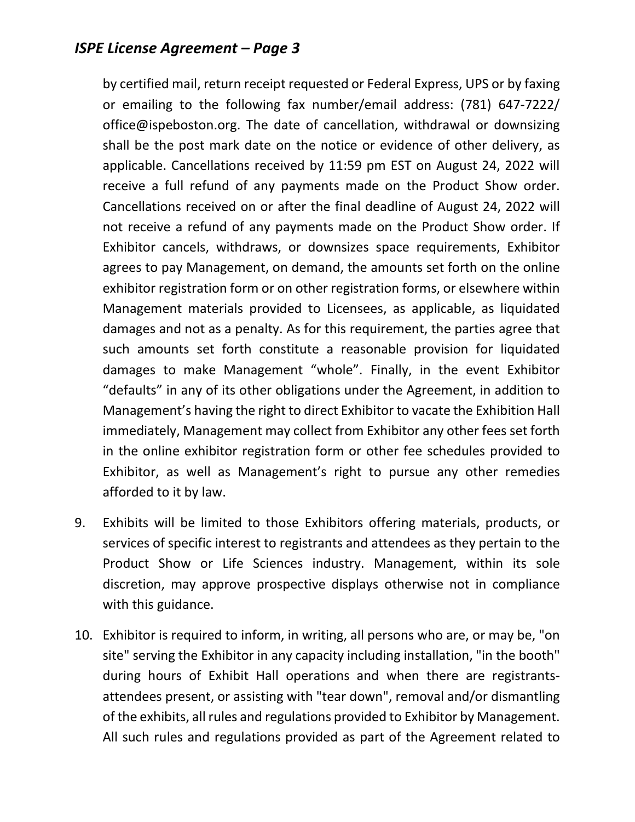by certified mail, return receipt requested or Federal Express, UPS or by faxing or emailing to the following fax number/email address: (781) 647-7222/ office@ispeboston.org. The date of cancellation, withdrawal or downsizing shall be the post mark date on the notice or evidence of other delivery, as applicable. Cancellations received by 11:59 pm EST on August 24, 2022 will receive a full refund of any payments made on the Product Show order. Cancellations received on or after the final deadline of August 24, 2022 will not receive a refund of any payments made on the Product Show order. If Exhibitor cancels, withdraws, or downsizes space requirements, Exhibitor agrees to pay Management, on demand, the amounts set forth on the online exhibitor registration form or on other registration forms, or elsewhere within Management materials provided to Licensees, as applicable, as liquidated damages and not as a penalty. As for this requirement, the parties agree that such amounts set forth constitute a reasonable provision for liquidated damages to make Management "whole". Finally, in the event Exhibitor "defaults" in any of its other obligations under the Agreement, in addition to Management's having the right to direct Exhibitor to vacate the Exhibition Hall immediately, Management may collect from Exhibitor any other fees set forth in the online exhibitor registration form or other fee schedules provided to Exhibitor, as well as Management's right to pursue any other remedies afforded to it by law.

- 9. Exhibits will be limited to those Exhibitors offering materials, products, or services of specific interest to registrants and attendees as they pertain to the Product Show or Life Sciences industry. Management, within its sole discretion, may approve prospective displays otherwise not in compliance with this guidance.
- 10. Exhibitor is required to inform, in writing, all persons who are, or may be, "on site" serving the Exhibitor in any capacity including installation, "in the booth" during hours of Exhibit Hall operations and when there are registrantsattendees present, or assisting with "tear down", removal and/or dismantling of the exhibits, all rules and regulations provided to Exhibitor by Management. All such rules and regulations provided as part of the Agreement related to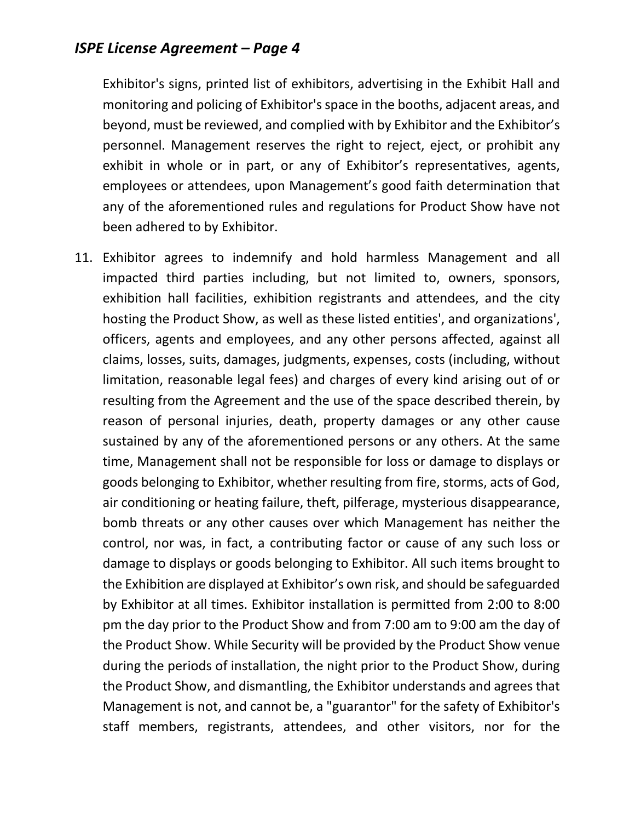Exhibitor's signs, printed list of exhibitors, advertising in the Exhibit Hall and monitoring and policing of Exhibitor's space in the booths, adjacent areas, and beyond, must be reviewed, and complied with by Exhibitor and the Exhibitor's personnel. Management reserves the right to reject, eject, or prohibit any exhibit in whole or in part, or any of Exhibitor's representatives, agents, employees or attendees, upon Management's good faith determination that any of the aforementioned rules and regulations for Product Show have not been adhered to by Exhibitor.

11. Exhibitor agrees to indemnify and hold harmless Management and all impacted third parties including, but not limited to, owners, sponsors, exhibition hall facilities, exhibition registrants and attendees, and the city hosting the Product Show, as well as these listed entities', and organizations', officers, agents and employees, and any other persons affected, against all claims, losses, suits, damages, judgments, expenses, costs (including, without limitation, reasonable legal fees) and charges of every kind arising out of or resulting from the Agreement and the use of the space described therein, by reason of personal injuries, death, property damages or any other cause sustained by any of the aforementioned persons or any others. At the same time, Management shall not be responsible for loss or damage to displays or goods belonging to Exhibitor, whether resulting from fire, storms, acts of God, air conditioning or heating failure, theft, pilferage, mysterious disappearance, bomb threats or any other causes over which Management has neither the control, nor was, in fact, a contributing factor or cause of any such loss or damage to displays or goods belonging to Exhibitor. All such items brought to the Exhibition are displayed at Exhibitor's own risk, and should be safeguarded by Exhibitor at all times. Exhibitor installation is permitted from 2:00 to 8:00 pm the day prior to the Product Show and from 7:00 am to 9:00 am the day of the Product Show. While Security will be provided by the Product Show venue during the periods of installation, the night prior to the Product Show, during the Product Show, and dismantling, the Exhibitor understands and agrees that Management is not, and cannot be, a "guarantor" for the safety of Exhibitor's staff members, registrants, attendees, and other visitors, nor for the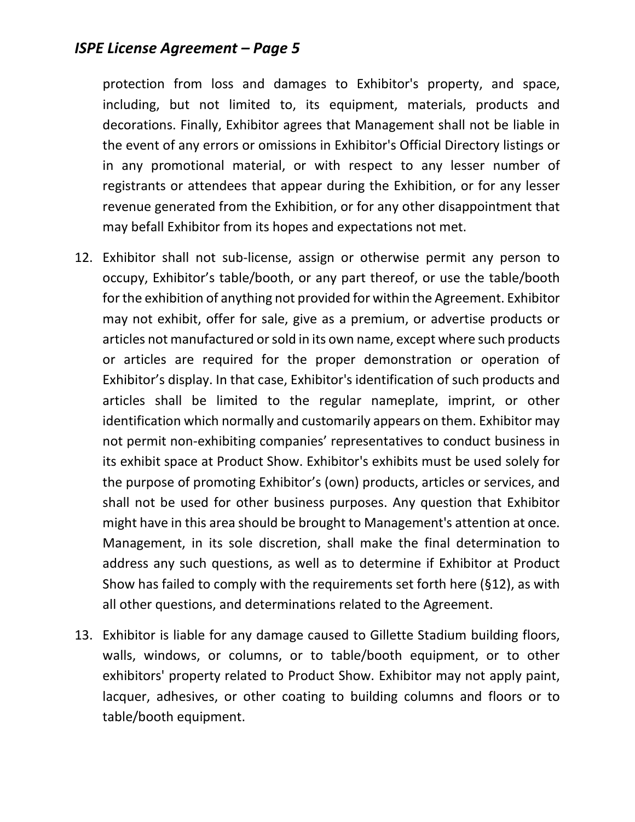protection from loss and damages to Exhibitor's property, and space, including, but not limited to, its equipment, materials, products and decorations. Finally, Exhibitor agrees that Management shall not be liable in the event of any errors or omissions in Exhibitor's Official Directory listings or in any promotional material, or with respect to any lesser number of registrants or attendees that appear during the Exhibition, or for any lesser revenue generated from the Exhibition, or for any other disappointment that may befall Exhibitor from its hopes and expectations not met.

- 12. Exhibitor shall not sub-license, assign or otherwise permit any person to occupy, Exhibitor's table/booth, or any part thereof, or use the table/booth for the exhibition of anything not provided for within the Agreement. Exhibitor may not exhibit, offer for sale, give as a premium, or advertise products or articles not manufactured or sold in its own name, except where such products or articles are required for the proper demonstration or operation of Exhibitor's display. In that case, Exhibitor's identification of such products and articles shall be limited to the regular nameplate, imprint, or other identification which normally and customarily appears on them. Exhibitor may not permit non-exhibiting companies' representatives to conduct business in its exhibit space at Product Show. Exhibitor's exhibits must be used solely for the purpose of promoting Exhibitor's (own) products, articles or services, and shall not be used for other business purposes. Any question that Exhibitor might have in this area should be brought to Management's attention at once. Management, in its sole discretion, shall make the final determination to address any such questions, as well as to determine if Exhibitor at Product Show has failed to comply with the requirements set forth here (§12), as with all other questions, and determinations related to the Agreement.
- 13. Exhibitor is liable for any damage caused to Gillette Stadium building floors, walls, windows, or columns, or to table/booth equipment, or to other exhibitors' property related to Product Show. Exhibitor may not apply paint, lacquer, adhesives, or other coating to building columns and floors or to table/booth equipment.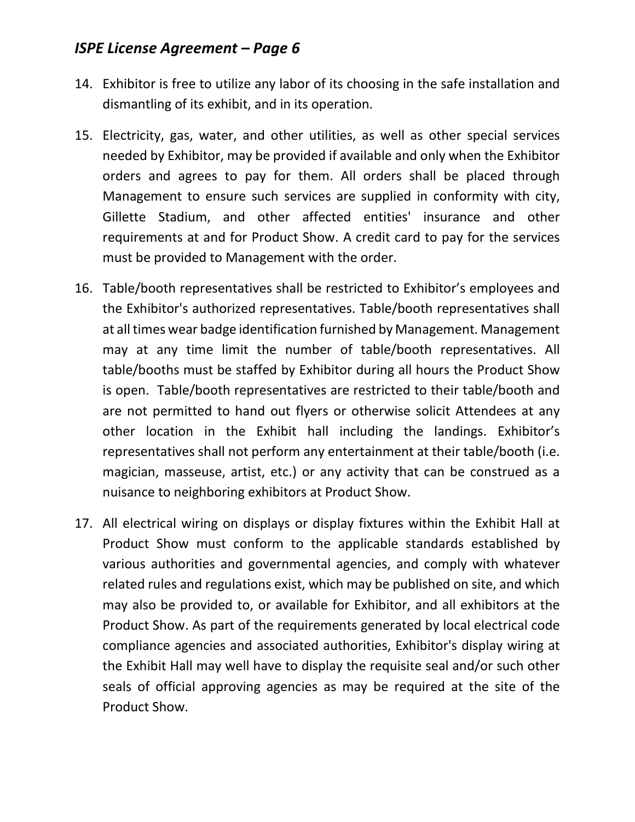- 14. Exhibitor is free to utilize any labor of its choosing in the safe installation and dismantling of its exhibit, and in its operation.
- 15. Electricity, gas, water, and other utilities, as well as other special services needed by Exhibitor, may be provided if available and only when the Exhibitor orders and agrees to pay for them. All orders shall be placed through Management to ensure such services are supplied in conformity with city, Gillette Stadium, and other affected entities' insurance and other requirements at and for Product Show. A credit card to pay for the services must be provided to Management with the order.
- 16. Table/booth representatives shall be restricted to Exhibitor's employees and the Exhibitor's authorized representatives. Table/booth representatives shall at all times wear badge identification furnished by Management. Management may at any time limit the number of table/booth representatives. All table/booths must be staffed by Exhibitor during all hours the Product Show is open. Table/booth representatives are restricted to their table/booth and are not permitted to hand out flyers or otherwise solicit Attendees at any other location in the Exhibit hall including the landings. Exhibitor's representatives shall not perform any entertainment at their table/booth (i.e. magician, masseuse, artist, etc.) or any activity that can be construed as a nuisance to neighboring exhibitors at Product Show.
- 17. All electrical wiring on displays or display fixtures within the Exhibit Hall at Product Show must conform to the applicable standards established by various authorities and governmental agencies, and comply with whatever related rules and regulations exist, which may be published on site, and which may also be provided to, or available for Exhibitor, and all exhibitors at the Product Show. As part of the requirements generated by local electrical code compliance agencies and associated authorities, Exhibitor's display wiring at the Exhibit Hall may well have to display the requisite seal and/or such other seals of official approving agencies as may be required at the site of the Product Show.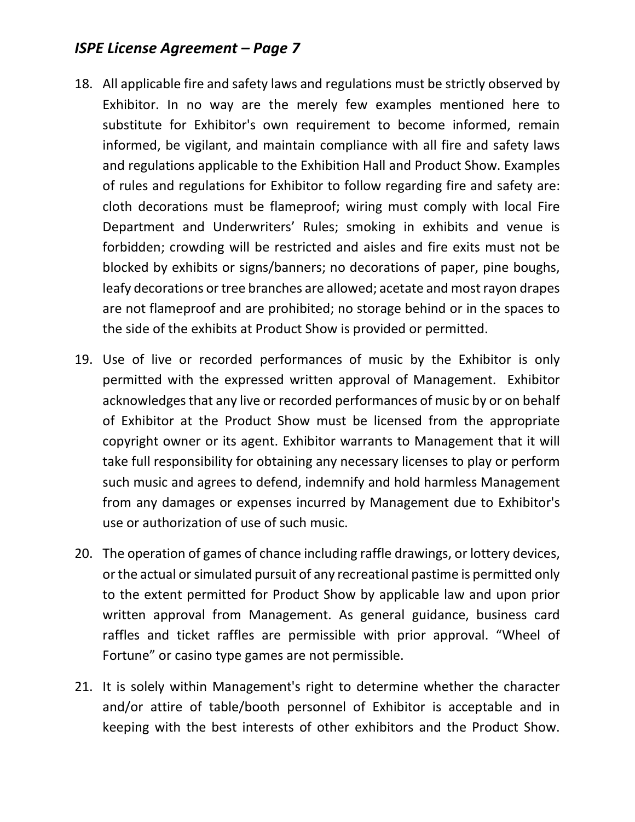- 18. All applicable fire and safety laws and regulations must be strictly observed by Exhibitor. In no way are the merely few examples mentioned here to substitute for Exhibitor's own requirement to become informed, remain informed, be vigilant, and maintain compliance with all fire and safety laws and regulations applicable to the Exhibition Hall and Product Show. Examples of rules and regulations for Exhibitor to follow regarding fire and safety are: cloth decorations must be flameproof; wiring must comply with local Fire Department and Underwriters' Rules; smoking in exhibits and venue is forbidden; crowding will be restricted and aisles and fire exits must not be blocked by exhibits or signs/banners; no decorations of paper, pine boughs, leafy decorations or tree branches are allowed; acetate and most rayon drapes are not flameproof and are prohibited; no storage behind or in the spaces to the side of the exhibits at Product Show is provided or permitted.
- 19. Use of live or recorded performances of music by the Exhibitor is only permitted with the expressed written approval of Management. Exhibitor acknowledges that any live or recorded performances of music by or on behalf of Exhibitor at the Product Show must be licensed from the appropriate copyright owner or its agent. Exhibitor warrants to Management that it will take full responsibility for obtaining any necessary licenses to play or perform such music and agrees to defend, indemnify and hold harmless Management from any damages or expenses incurred by Management due to Exhibitor's use or authorization of use of such music.
- 20. The operation of games of chance including raffle drawings, or lottery devices, or the actual or simulated pursuit of any recreational pastime is permitted only to the extent permitted for Product Show by applicable law and upon prior written approval from Management. As general guidance, business card raffles and ticket raffles are permissible with prior approval. "Wheel of Fortune" or casino type games are not permissible.
- 21. It is solely within Management's right to determine whether the character and/or attire of table/booth personnel of Exhibitor is acceptable and in keeping with the best interests of other exhibitors and the Product Show.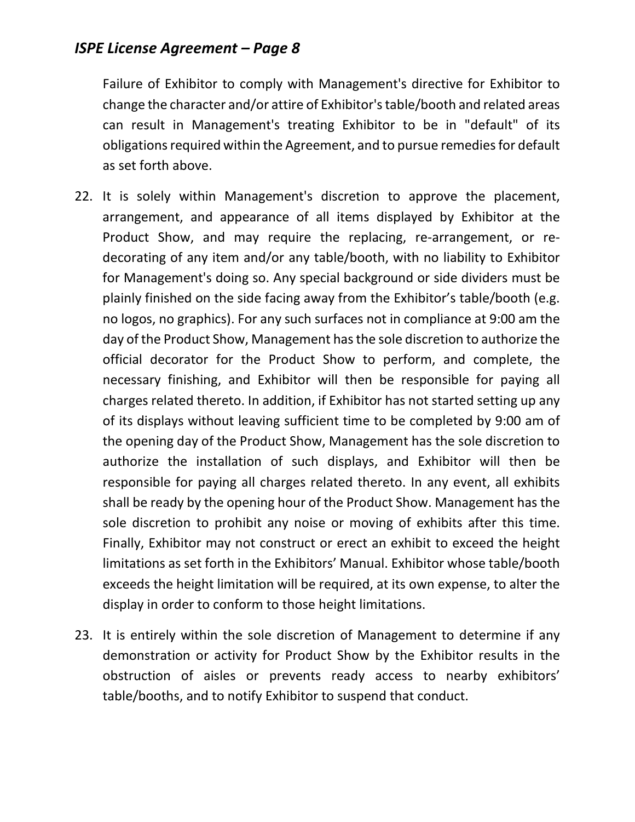Failure of Exhibitor to comply with Management's directive for Exhibitor to change the character and/or attire of Exhibitor's table/booth and related areas can result in Management's treating Exhibitor to be in "default" of its obligations required within the Agreement, and to pursue remedies for default as set forth above.

- 22. It is solely within Management's discretion to approve the placement, arrangement, and appearance of all items displayed by Exhibitor at the Product Show, and may require the replacing, re-arrangement, or redecorating of any item and/or any table/booth, with no liability to Exhibitor for Management's doing so. Any special background or side dividers must be plainly finished on the side facing away from the Exhibitor's table/booth (e.g. no logos, no graphics). For any such surfaces not in compliance at 9:00 am the day of the Product Show, Management has the sole discretion to authorize the official decorator for the Product Show to perform, and complete, the necessary finishing, and Exhibitor will then be responsible for paying all charges related thereto. In addition, if Exhibitor has not started setting up any of its displays without leaving sufficient time to be completed by 9:00 am of the opening day of the Product Show, Management has the sole discretion to authorize the installation of such displays, and Exhibitor will then be responsible for paying all charges related thereto. In any event, all exhibits shall be ready by the opening hour of the Product Show. Management has the sole discretion to prohibit any noise or moving of exhibits after this time. Finally, Exhibitor may not construct or erect an exhibit to exceed the height limitations as set forth in the Exhibitors' Manual. Exhibitor whose table/booth exceeds the height limitation will be required, at its own expense, to alter the display in order to conform to those height limitations.
- 23. It is entirely within the sole discretion of Management to determine if any demonstration or activity for Product Show by the Exhibitor results in the obstruction of aisles or prevents ready access to nearby exhibitors' table/booths, and to notify Exhibitor to suspend that conduct.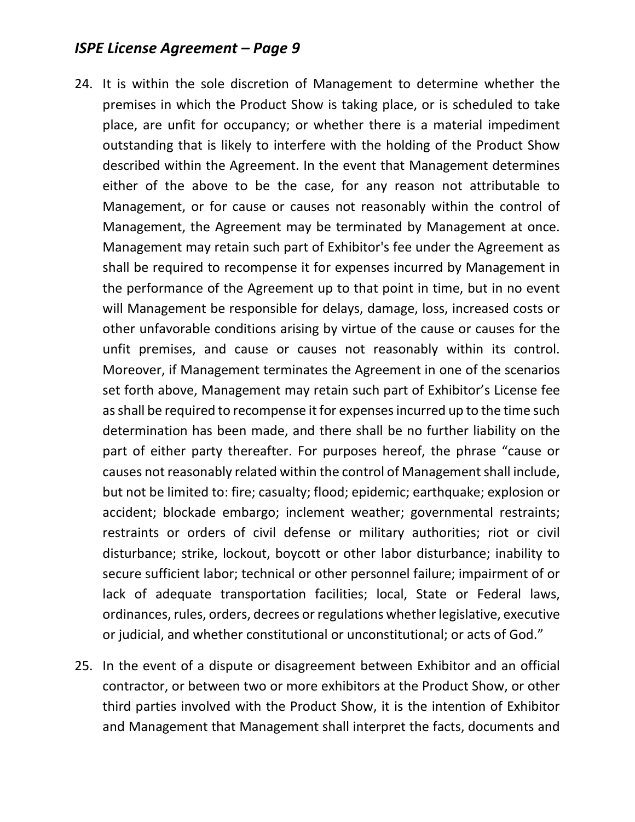- 24. It is within the sole discretion of Management to determine whether the premises in which the Product Show is taking place, or is scheduled to take place, are unfit for occupancy; or whether there is a material impediment outstanding that is likely to interfere with the holding of the Product Show described within the Agreement. In the event that Management determines either of the above to be the case, for any reason not attributable to Management, or for cause or causes not reasonably within the control of Management, the Agreement may be terminated by Management at once. Management may retain such part of Exhibitor's fee under the Agreement as shall be required to recompense it for expenses incurred by Management in the performance of the Agreement up to that point in time, but in no event will Management be responsible for delays, damage, loss, increased costs or other unfavorable conditions arising by virtue of the cause or causes for the unfit premises, and cause or causes not reasonably within its control. Moreover, if Management terminates the Agreement in one of the scenarios set forth above, Management may retain such part of Exhibitor's License fee as shall be required to recompense it for expenses incurred up to the time such determination has been made, and there shall be no further liability on the part of either party thereafter. For purposes hereof, the phrase "cause or causes not reasonably related within the control of Management shall include, but not be limited to: fire; casualty; flood; epidemic; earthquake; explosion or accident; blockade embargo; inclement weather; governmental restraints; restraints or orders of civil defense or military authorities; riot or civil disturbance; strike, lockout, boycott or other labor disturbance; inability to secure sufficient labor; technical or other personnel failure; impairment of or lack of adequate transportation facilities; local, State or Federal laws, ordinances, rules, orders, decrees or regulations whether legislative, executive or judicial, and whether constitutional or unconstitutional; or acts of God."
- 25. In the event of a dispute or disagreement between Exhibitor and an official contractor, or between two or more exhibitors at the Product Show, or other third parties involved with the Product Show, it is the intention of Exhibitor and Management that Management shall interpret the facts, documents and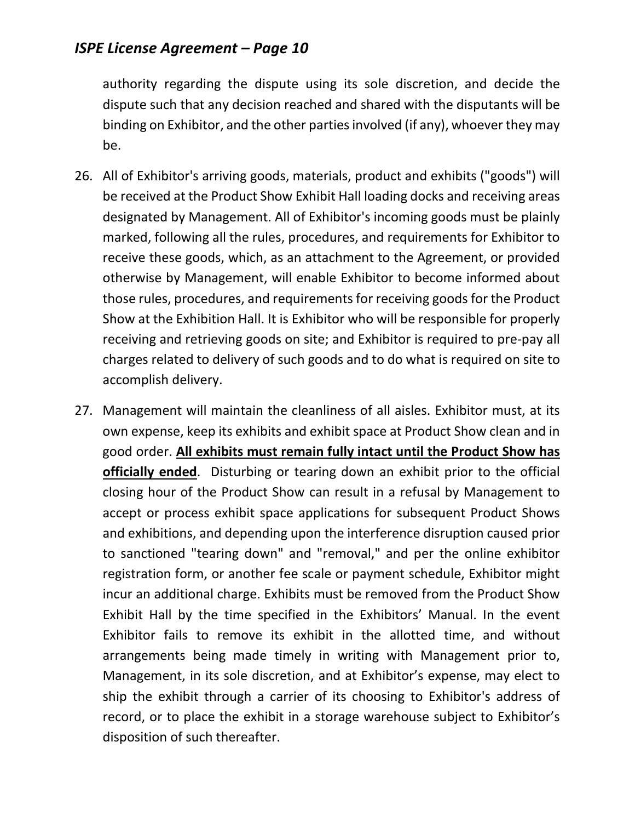authority regarding the dispute using its sole discretion, and decide the dispute such that any decision reached and shared with the disputants will be binding on Exhibitor, and the other parties involved (if any), whoever they may be.

- 26. All of Exhibitor's arriving goods, materials, product and exhibits ("goods") will be received at the Product Show Exhibit Hall loading docks and receiving areas designated by Management. All of Exhibitor's incoming goods must be plainly marked, following all the rules, procedures, and requirements for Exhibitor to receive these goods, which, as an attachment to the Agreement, or provided otherwise by Management, will enable Exhibitor to become informed about those rules, procedures, and requirements for receiving goods for the Product Show at the Exhibition Hall. It is Exhibitor who will be responsible for properly receiving and retrieving goods on site; and Exhibitor is required to pre-pay all charges related to delivery of such goods and to do what is required on site to accomplish delivery.
- 27. Management will maintain the cleanliness of all aisles. Exhibitor must, at its own expense, keep its exhibits and exhibit space at Product Show clean and in good order. **All exhibits must remain fully intact until the Product Show has officially ended**. Disturbing or tearing down an exhibit prior to the official closing hour of the Product Show can result in a refusal by Management to accept or process exhibit space applications for subsequent Product Shows and exhibitions, and depending upon the interference disruption caused prior to sanctioned "tearing down" and "removal," and per the online exhibitor registration form, or another fee scale or payment schedule, Exhibitor might incur an additional charge. Exhibits must be removed from the Product Show Exhibit Hall by the time specified in the Exhibitors' Manual. In the event Exhibitor fails to remove its exhibit in the allotted time, and without arrangements being made timely in writing with Management prior to, Management, in its sole discretion, and at Exhibitor's expense, may elect to ship the exhibit through a carrier of its choosing to Exhibitor's address of record, or to place the exhibit in a storage warehouse subject to Exhibitor's disposition of such thereafter.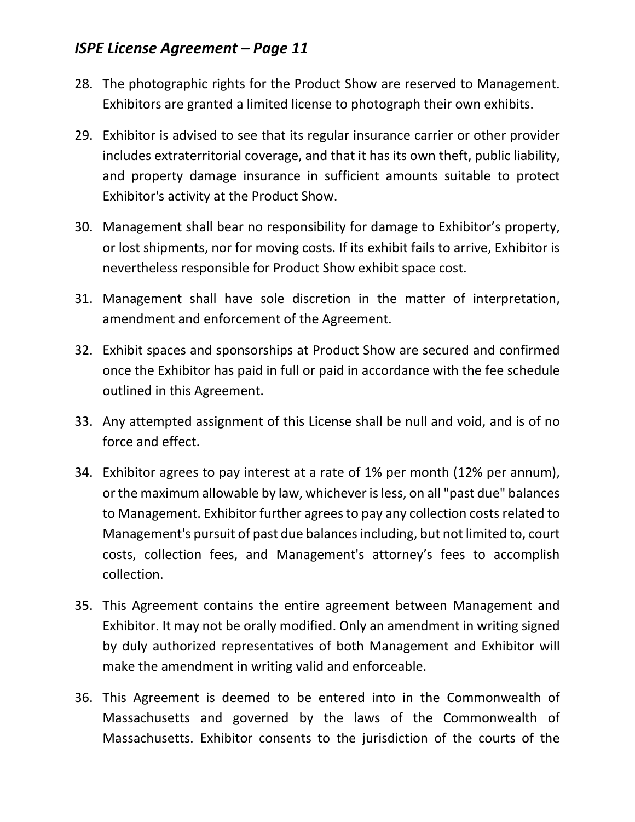- 28. The photographic rights for the Product Show are reserved to Management. Exhibitors are granted a limited license to photograph their own exhibits.
- 29. Exhibitor is advised to see that its regular insurance carrier or other provider includes extraterritorial coverage, and that it has its own theft, public liability, and property damage insurance in sufficient amounts suitable to protect Exhibitor's activity at the Product Show.
- 30. Management shall bear no responsibility for damage to Exhibitor's property, or lost shipments, nor for moving costs. If its exhibit fails to arrive, Exhibitor is nevertheless responsible for Product Show exhibit space cost.
- 31. Management shall have sole discretion in the matter of interpretation, amendment and enforcement of the Agreement.
- 32. Exhibit spaces and sponsorships at Product Show are secured and confirmed once the Exhibitor has paid in full or paid in accordance with the fee schedule outlined in this Agreement.
- 33. Any attempted assignment of this License shall be null and void, and is of no force and effect.
- 34. Exhibitor agrees to pay interest at a rate of 1% per month (12% per annum), or the maximum allowable by law, whichever is less, on all "past due" balances to Management. Exhibitor further agrees to pay any collection costs related to Management's pursuit of past due balances including, but not limited to, court costs, collection fees, and Management's attorney's fees to accomplish collection.
- 35. This Agreement contains the entire agreement between Management and Exhibitor. It may not be orally modified. Only an amendment in writing signed by duly authorized representatives of both Management and Exhibitor will make the amendment in writing valid and enforceable.
- 36. This Agreement is deemed to be entered into in the Commonwealth of Massachusetts and governed by the laws of the Commonwealth of Massachusetts. Exhibitor consents to the jurisdiction of the courts of the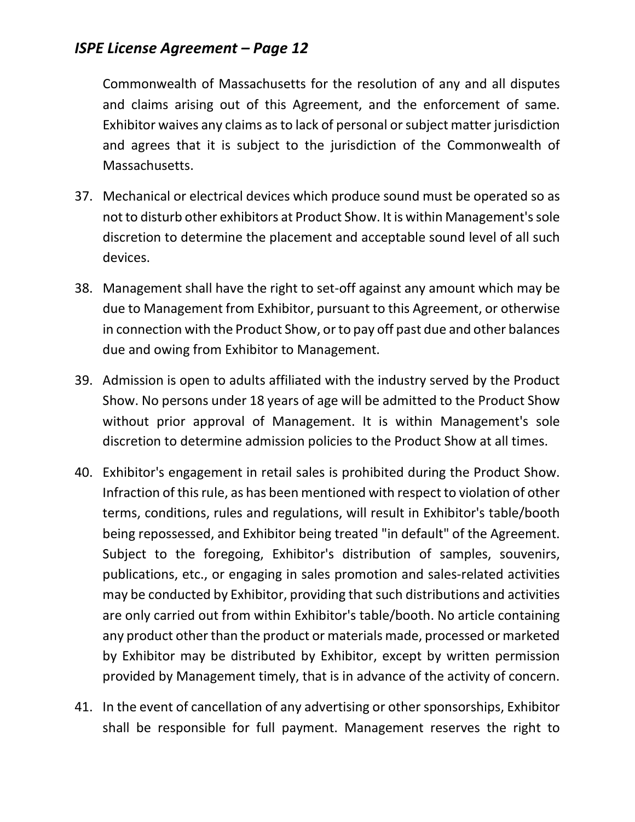Commonwealth of Massachusetts for the resolution of any and all disputes and claims arising out of this Agreement, and the enforcement of same. Exhibitor waives any claims as to lack of personal or subject matter jurisdiction and agrees that it is subject to the jurisdiction of the Commonwealth of Massachusetts.

- 37. Mechanical or electrical devices which produce sound must be operated so as not to disturb other exhibitors at Product Show. It is within Management's sole discretion to determine the placement and acceptable sound level of all such devices.
- 38. Management shall have the right to set-off against any amount which may be due to Management from Exhibitor, pursuant to this Agreement, or otherwise in connection with the Product Show, or to pay off past due and other balances due and owing from Exhibitor to Management.
- 39. Admission is open to adults affiliated with the industry served by the Product Show. No persons under 18 years of age will be admitted to the Product Show without prior approval of Management. It is within Management's sole discretion to determine admission policies to the Product Show at all times.
- 40. Exhibitor's engagement in retail sales is prohibited during the Product Show. Infraction of this rule, as has been mentioned with respect to violation of other terms, conditions, rules and regulations, will result in Exhibitor's table/booth being repossessed, and Exhibitor being treated "in default" of the Agreement. Subject to the foregoing, Exhibitor's distribution of samples, souvenirs, publications, etc., or engaging in sales promotion and sales-related activities may be conducted by Exhibitor, providing that such distributions and activities are only carried out from within Exhibitor's table/booth. No article containing any product other than the product or materials made, processed or marketed by Exhibitor may be distributed by Exhibitor, except by written permission provided by Management timely, that is in advance of the activity of concern.
- 41. In the event of cancellation of any advertising or other sponsorships, Exhibitor shall be responsible for full payment. Management reserves the right to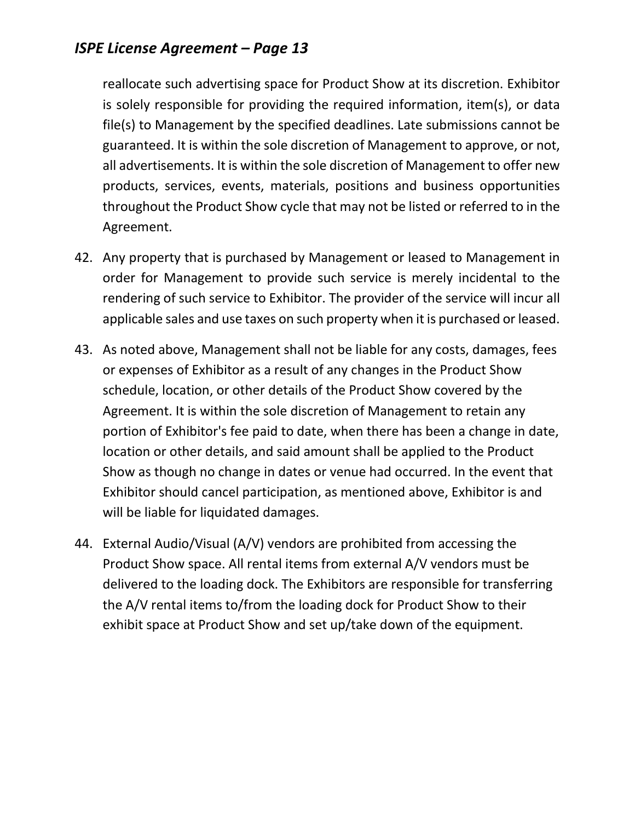reallocate such advertising space for Product Show at its discretion. Exhibitor is solely responsible for providing the required information, item(s), or data file(s) to Management by the specified deadlines. Late submissions cannot be guaranteed. It is within the sole discretion of Management to approve, or not, all advertisements. It is within the sole discretion of Management to offer new products, services, events, materials, positions and business opportunities throughout the Product Show cycle that may not be listed or referred to in the Agreement.

- 42. Any property that is purchased by Management or leased to Management in order for Management to provide such service is merely incidental to the rendering of such service to Exhibitor. The provider of the service will incur all applicable sales and use taxes on such property when it is purchased or leased.
- 43. As noted above, Management shall not be liable for any costs, damages, fees or expenses of Exhibitor as a result of any changes in the Product Show schedule, location, or other details of the Product Show covered by the Agreement. It is within the sole discretion of Management to retain any portion of Exhibitor's fee paid to date, when there has been a change in date, location or other details, and said amount shall be applied to the Product Show as though no change in dates or venue had occurred. In the event that Exhibitor should cancel participation, as mentioned above, Exhibitor is and will be liable for liquidated damages.
- 44. External Audio/Visual (A/V) vendors are prohibited from accessing the Product Show space. All rental items from external A/V vendors must be delivered to the loading dock. The Exhibitors are responsible for transferring the A/V rental items to/from the loading dock for Product Show to their exhibit space at Product Show and set up/take down of the equipment.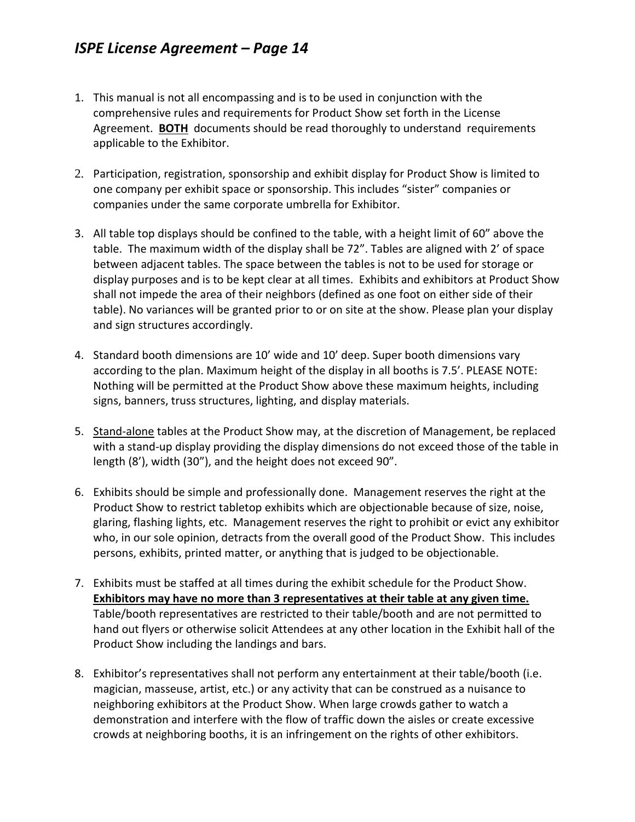- 1. This manual is not all encompassing and is to be used in conjunction with the comprehensive rules and requirements for Product Show set forth in the License Agreement. **BOTH** documents should be read thoroughly to understand requirements applicable to the Exhibitor.
- 2. Participation, registration, sponsorship and exhibit display for Product Show is limited to one company per exhibit space or sponsorship. This includes "sister" companies or companies under the same corporate umbrella for Exhibitor.
- 3. All table top displays should be confined to the table, with a height limit of 60" above the table. The maximum width of the display shall be 72". Tables are aligned with 2' of space between adjacent tables. The space between the tables is not to be used for storage or display purposes and is to be kept clear at all times. Exhibits and exhibitors at Product Show shall not impede the area of their neighbors (defined as one foot on either side of their table). No variances will be granted prior to or on site at the show. Please plan your display and sign structures accordingly.
- 4. Standard booth dimensions are 10' wide and 10' deep. Super booth dimensions vary according to the plan. Maximum height of the display in all booths is 7.5'. PLEASE NOTE: Nothing will be permitted at the Product Show above these maximum heights, including signs, banners, truss structures, lighting, and display materials.
- 5. Stand-alone tables at the Product Show may, at the discretion of Management, be replaced with a stand-up display providing the display dimensions do not exceed those of the table in length (8'), width (30"), and the height does not exceed 90".
- 6. Exhibits should be simple and professionally done. Management reserves the right at the Product Show to restrict tabletop exhibits which are objectionable because of size, noise, glaring, flashing lights, etc. Management reserves the right to prohibit or evict any exhibitor who, in our sole opinion, detracts from the overall good of the Product Show. This includes persons, exhibits, printed matter, or anything that is judged to be objectionable.
- 7. Exhibits must be staffed at all times during the exhibit schedule for the Product Show. **Exhibitors may have no more than 3 representatives at their table at any given time.**  Table/booth representatives are restricted to their table/booth and are not permitted to hand out flyers or otherwise solicit Attendees at any other location in the Exhibit hall of the Product Show including the landings and bars.
- 8. Exhibitor's representatives shall not perform any entertainment at their table/booth (i.e. magician, masseuse, artist, etc.) or any activity that can be construed as a nuisance to neighboring exhibitors at the Product Show. When large crowds gather to watch a demonstration and interfere with the flow of traffic down the aisles or create excessive crowds at neighboring booths, it is an infringement on the rights of other exhibitors.